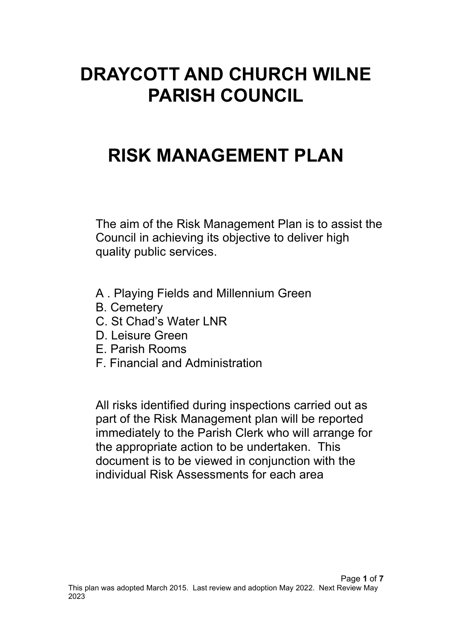# **DRAYCOTT AND CHURCH WILNE PARISH COUNCIL**

# **RISK MANAGEMENT PLAN**

The aim of the Risk Management Plan is to assist the Council in achieving its objective to deliver high quality public services.

- A . Playing Fields and Millennium Green
- B. Cemetery
- C. St Chad's Water LNR
- D. Leisure Green
- E. Parish Rooms
- F. Financial and Administration

All risks identified during inspections carried out as part of the Risk Management plan will be reported immediately to the Parish Clerk who will arrange for the appropriate action to be undertaken. This document is to be viewed in conjunction with the individual Risk Assessments for each area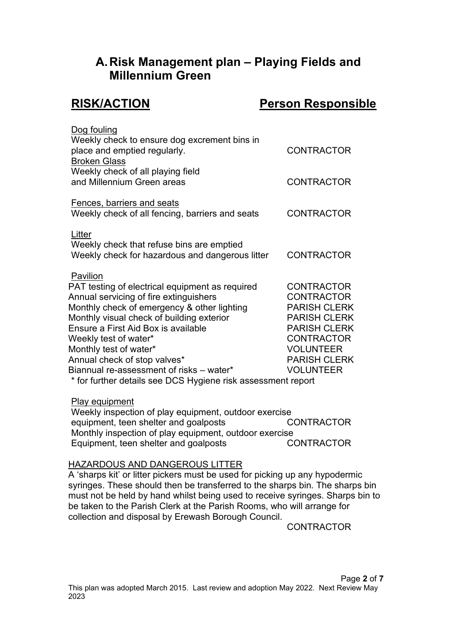# **A.Risk Management plan – Playing Fields and Millennium Green**

# **RISK/ACTION Person Responsible**

| Dog fouling<br>Weekly check to ensure dog excrement bins in<br>place and emptied regularly.                                                                                                                                                                                                                                                                             | <b>CONTRACTOR</b>                                                                                                                                                                               |
|-------------------------------------------------------------------------------------------------------------------------------------------------------------------------------------------------------------------------------------------------------------------------------------------------------------------------------------------------------------------------|-------------------------------------------------------------------------------------------------------------------------------------------------------------------------------------------------|
| <b>Broken Glass</b><br>Weekly check of all playing field<br>and Millennium Green areas                                                                                                                                                                                                                                                                                  | <b>CONTRACTOR</b>                                                                                                                                                                               |
| Fences, barriers and seats<br>Weekly check of all fencing, barriers and seats                                                                                                                                                                                                                                                                                           | <b>CONTRACTOR</b>                                                                                                                                                                               |
| Litter<br>Weekly check that refuse bins are emptied<br>Weekly check for hazardous and dangerous litter                                                                                                                                                                                                                                                                  | <b>CONTRACTOR</b>                                                                                                                                                                               |
| Pavilion<br>PAT testing of electrical equipment as required<br>Annual servicing of fire extinguishers<br>Monthly check of emergency & other lighting<br>Monthly visual check of building exterior<br>Ensure a First Aid Box is available<br>Weekly test of water*<br>Monthly test of water*<br>Annual check of stop valves*<br>Biannual re-assessment of risks - water* | <b>CONTRACTOR</b><br><b>CONTRACTOR</b><br><b>PARISH CLERK</b><br><b>PARISH CLERK</b><br><b>PARISH CLERK</b><br><b>CONTRACTOR</b><br><b>VOLUNTEER</b><br><b>PARISH CLERK</b><br><b>VOLUNTEER</b> |
| * for further details see DCS Hygiene risk assessment report                                                                                                                                                                                                                                                                                                            |                                                                                                                                                                                                 |

### Play equipment

Weekly inspection of play equipment, outdoor exercise equipment, teen shelter and goalposts CONTRACTOR Monthly inspection of play equipment, outdoor exercise Equipment, teen shelter and goalposts CONTRACTOR

### HAZARDOUS AND DANGEROUS LITTER

A 'sharps kit' or litter pickers must be used for picking up any hypodermic syringes. These should then be transferred to the sharps bin. The sharps bin must not be held by hand whilst being used to receive syringes. Sharps bin to be taken to the Parish Clerk at the Parish Rooms, who will arrange for collection and disposal by Erewash Borough Council.

CONTRACTOR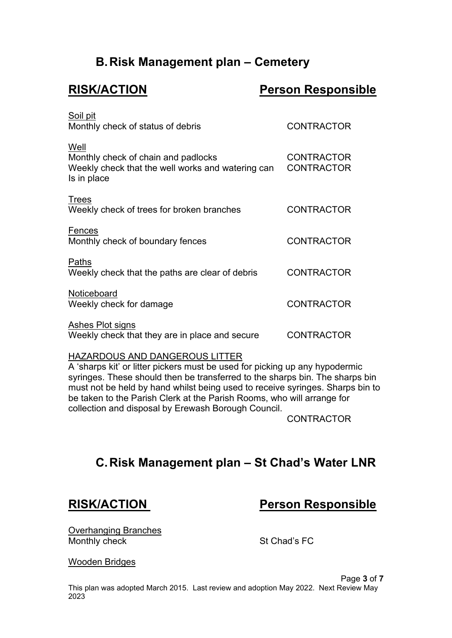# **B.Risk Management plan – Cemetery**

# **RISK/ACTION Person Responsible**

| Soil pit<br>Monthly check of status of debris                                                                   | <b>CONTRACTOR</b>                      |
|-----------------------------------------------------------------------------------------------------------------|----------------------------------------|
| Well<br>Monthly check of chain and padlocks<br>Weekly check that the well works and watering can<br>Is in place | <b>CONTRACTOR</b><br><b>CONTRACTOR</b> |
| <b>Trees</b><br>Weekly check of trees for broken branches                                                       | <b>CONTRACTOR</b>                      |
| Fences<br>Monthly check of boundary fences                                                                      | <b>CONTRACTOR</b>                      |
| Paths<br>Weekly check that the paths are clear of debris                                                        | <b>CONTRACTOR</b>                      |
| Noticeboard<br>Weekly check for damage                                                                          | <b>CONTRACTOR</b>                      |
| Ashes Plot signs<br>Weekly check that they are in place and secure                                              | <b>CONTRACTOR</b>                      |

### HAZARDOUS AND DANGEROUS LITTER

A 'sharps kit' or litter pickers must be used for picking up any hypodermic syringes. These should then be transferred to the sharps bin. The sharps bin must not be held by hand whilst being used to receive syringes. Sharps bin to be taken to the Parish Clerk at the Parish Rooms, who will arrange for collection and disposal by Erewash Borough Council.

CONTRACTOR

# **C.Risk Management plan – St Chad's Water LNR**

# **RISK/ACTION Person Responsible**

Overhanging Branches Monthly check St Chad's FC

Wooden Bridges

Page **3** of **7**

This plan was adopted March 2015. Last review and adoption May 2022. Next Review May 2023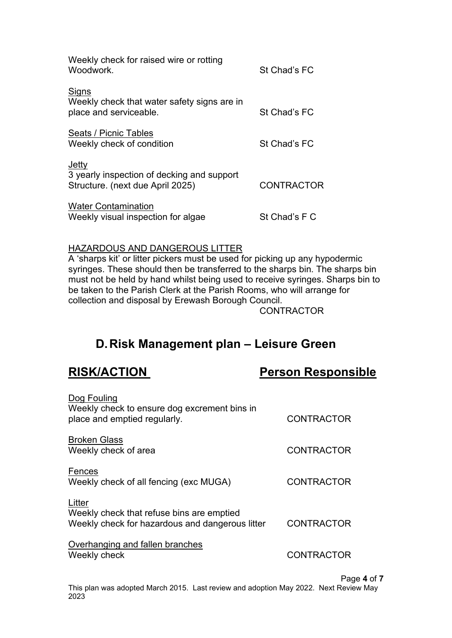| Weekly check for raised wire or rotting<br>Woodwork.                                    | St Chad's FC      |
|-----------------------------------------------------------------------------------------|-------------------|
| Signs<br>Weekly check that water safety signs are in<br>place and serviceable.          | St Chad's FC      |
| Seats / Picnic Tables<br>Weekly check of condition                                      | St Chad's FC      |
| Jetty<br>3 yearly inspection of decking and support<br>Structure. (next due April 2025) | <b>CONTRACTOR</b> |
| <b>Water Contamination</b><br>Weekly visual inspection for algae                        | St Chad's F C     |

### HAZARDOUS AND DANGEROUS LITTER

A 'sharps kit' or litter pickers must be used for picking up any hypodermic syringes. These should then be transferred to the sharps bin. The sharps bin must not be held by hand whilst being used to receive syringes. Sharps bin to be taken to the Parish Clerk at the Parish Rooms, who will arrange for collection and disposal by Erewash Borough Council.

**CONTRACTOR** 

# **D.Risk Management plan – Leisure Green**

## **RISK/ACTION Person Responsible**

| Dog Fouling<br>Weekly check to ensure dog excrement bins in |                   |
|-------------------------------------------------------------|-------------------|
| place and emptied regularly.                                | <b>CONTRACTOR</b> |
| <b>Broken Glass</b>                                         |                   |
| Weekly check of area                                        | <b>CONTRACTOR</b> |
| Fences                                                      |                   |
| Weekly check of all fencing (exc MUGA)                      | <b>CONTRACTOR</b> |
|                                                             |                   |
| Litter<br>Weekly check that refuse bins are emptied         |                   |
| Weekly check for hazardous and dangerous litter             | <b>CONTRACTOR</b> |
|                                                             |                   |
| Overhanging and fallen branches                             |                   |
| Weekly check                                                | <b>CONTRACTOR</b> |

Page **4** of **7**

This plan was adopted March 2015. Last review and adoption May 2022. Next Review May 2023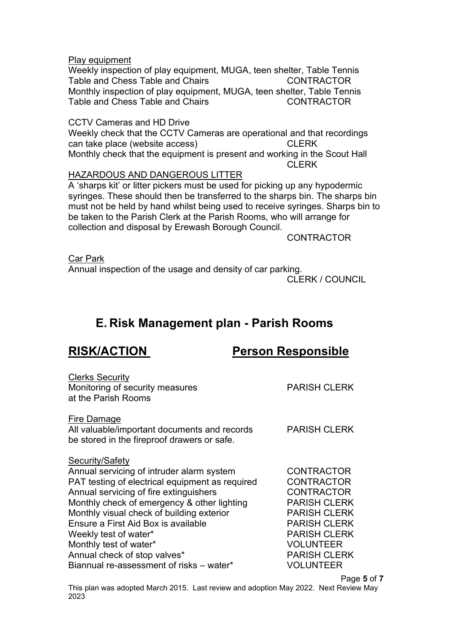#### Play equipment

Weekly inspection of play equipment, MUGA, teen shelter, Table Tennis Table and Chess Table and Chairs **CONTRACTOR** Monthly inspection of play equipment, MUGA, teen shelter, Table Tennis Table and Chess Table and Chairs Table **CONTRACTOR** 

#### CCTV Cameras and HD Drive

Weekly check that the CCTV Cameras are operational and that recordings can take place (website access) CLERK Monthly check that the equipment is present and working in the Scout Hall CLERK

### HAZARDOUS AND DANGEROUS LITTER

A 'sharps kit' or litter pickers must be used for picking up any hypodermic syringes. These should then be transferred to the sharps bin. The sharps bin must not be held by hand whilst being used to receive syringes. Sharps bin to be taken to the Parish Clerk at the Parish Rooms, who will arrange for collection and disposal by Erewash Borough Council.

**CONTRACTOR** 

Car Park Annual inspection of the usage and density of car parking.

CLERK / COUNCIL

# **E. Risk Management plan - Parish Rooms**

# **RISK/ACTION Person Responsible**

| <b>Clerks Security</b><br>Monitoring of security measures<br>at the Parish Rooms                                                                                                                                                                                                                                                                                                | <b>PARISH CLERK</b>                                                                                                                                                                                |
|---------------------------------------------------------------------------------------------------------------------------------------------------------------------------------------------------------------------------------------------------------------------------------------------------------------------------------------------------------------------------------|----------------------------------------------------------------------------------------------------------------------------------------------------------------------------------------------------|
| Fire Damage<br>All valuable/important documents and records<br>be stored in the fireproof drawers or safe.                                                                                                                                                                                                                                                                      | <b>PARISH CLERK</b>                                                                                                                                                                                |
| Security/Safety<br>Annual servicing of intruder alarm system<br>PAT testing of electrical equipment as required<br>Annual servicing of fire extinguishers<br>Monthly check of emergency & other lighting<br>Monthly visual check of building exterior<br>Ensure a First Aid Box is available<br>Weekly test of water*<br>Monthly test of water*<br>Annual check of stop valves* | <b>CONTRACTOR</b><br><b>CONTRACTOR</b><br><b>CONTRACTOR</b><br><b>PARISH CLERK</b><br><b>PARISH CLERK</b><br><b>PARISH CLERK</b><br><b>PARISH CLERK</b><br><b>VOLUNTEER</b><br><b>PARISH CLERK</b> |
| Biannual re-assessment of risks - water*                                                                                                                                                                                                                                                                                                                                        | <b>VOLUNTEER</b>                                                                                                                                                                                   |

Page **5** of **7**

This plan was adopted March 2015. Last review and adoption May 2022. Next Review May 2023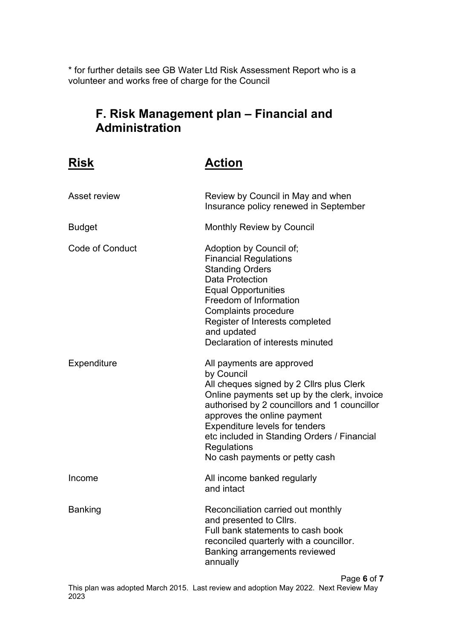\* for further details see GB Water Ltd Risk Assessment Report who is a volunteer and works free of charge for the Council

# **F. Risk Management plan – Financial and Administration**

# **Risk Action**

| Asset review           | Review by Council in May and when<br>Insurance policy renewed in September                                                                                                                                                                                                                                                                                  |
|------------------------|-------------------------------------------------------------------------------------------------------------------------------------------------------------------------------------------------------------------------------------------------------------------------------------------------------------------------------------------------------------|
| <b>Budget</b>          | <b>Monthly Review by Council</b>                                                                                                                                                                                                                                                                                                                            |
| <b>Code of Conduct</b> | Adoption by Council of;<br><b>Financial Regulations</b><br><b>Standing Orders</b><br><b>Data Protection</b><br><b>Equal Opportunities</b><br>Freedom of Information<br>Complaints procedure<br>Register of Interests completed<br>and updated<br>Declaration of interests minuted                                                                           |
| Expenditure            | All payments are approved<br>by Council<br>All cheques signed by 2 Cllrs plus Clerk<br>Online payments set up by the clerk, invoice<br>authorised by 2 councillors and 1 councillor<br>approves the online payment<br><b>Expenditure levels for tenders</b><br>etc included in Standing Orders / Financial<br>Regulations<br>No cash payments or petty cash |
| Income                 | All income banked regularly<br>and intact                                                                                                                                                                                                                                                                                                                   |
| <b>Banking</b>         | Reconciliation carried out monthly<br>and presented to Cllrs.<br>Full bank statements to cash book<br>reconciled quarterly with a councillor.<br>Banking arrangements reviewed<br>annually                                                                                                                                                                  |

Page **6** of **7** This plan was adopted March 2015. Last review and adoption May 2022. Next Review May 2023